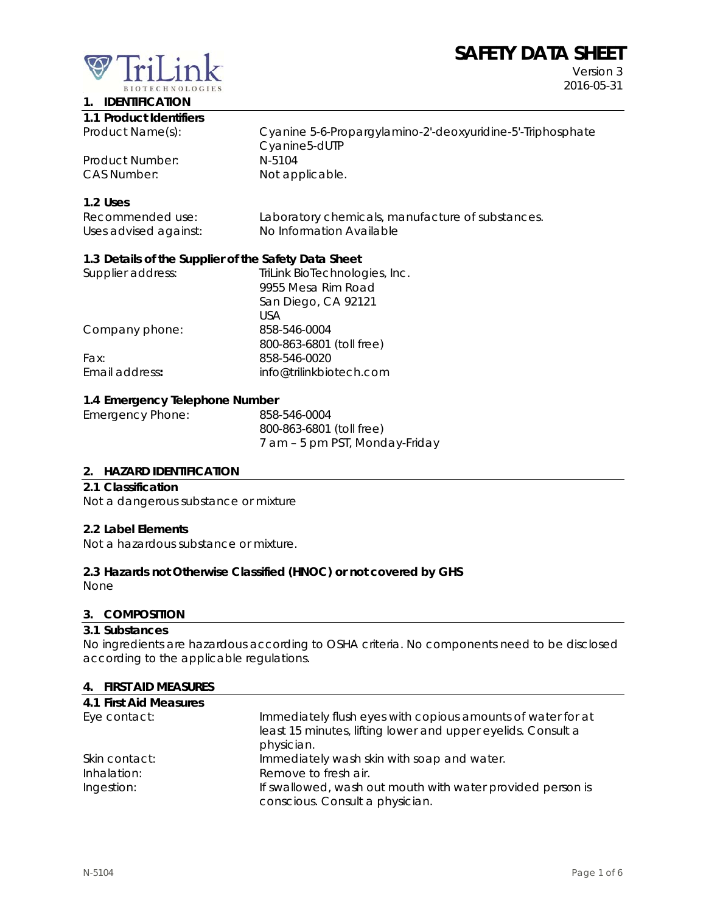# **SAFETY DATA SHEET**



**1. IDENTIFICATION** 

Version 3 2016-05-31

| 1.1 Product Identifiers |
|-------------------------|

Product Name(s): Cyanine 5-6-Propargylamino-2'-deoxyuridine-5'-Triphosphate Cyanine5-dUTP<br>N-5104 Product Number: CAS Number: Not applicable.

## **1.2 Uses**

| Recommended use:      | Laboratory chemicals, manufacture of substances. |
|-----------------------|--------------------------------------------------|
| Uses advised against: | No Information Available                         |

## **1.3 Details of the Supplier of the Safety Data Sheet**

| Supplier address: | TriLink BioTechnologies, Inc. |
|-------------------|-------------------------------|
|                   | 9955 Mesa Rim Road            |
|                   | San Diego, CA 92121           |
|                   | USA                           |
| Company phone:    | 858-546-0004                  |
|                   | 800-863-6801 (toll free)      |
| Fax:              | 858-546-0020                  |
| Email address:    | info@trilinkbiotech.com       |
|                   |                               |

#### **1.4 Emergency Telephone Number**

| Emergency Phone: | 858-546-0004                   |
|------------------|--------------------------------|
|                  | 800-863-6801 (toll free)       |
|                  | 7 am – 5 pm PST, Monday-Friday |

#### **2. HAZARD IDENTIFICATION**

#### **2.1 Classification**

Not a dangerous substance or mixture

#### **2.2 Label Elements**

Not a hazardous substance or mixture.

#### **2.3 Hazards not Otherwise Classified (HNOC) or not covered by GHS**

None

#### **3. COMPOSITION**

#### **3.1 Substances**

No ingredients are hazardous according to OSHA criteria. No components need to be disclosed according to the applicable regulations.

#### **4. FIRST AID MEASURES**

| 4.1 First Aid Measures |                                                              |
|------------------------|--------------------------------------------------------------|
| Eye contact:           | Immediately flush eyes with copious amounts of water for at  |
|                        | least 15 minutes, lifting lower and upper eyelids. Consult a |
|                        | physician.                                                   |
| Skin contact:          | Immediately wash skin with soap and water.                   |
| Inhalation:            | Remove to fresh air.                                         |
| Ingestion:             | If swallowed, wash out mouth with water provided person is   |
|                        | conscious. Consult a physician.                              |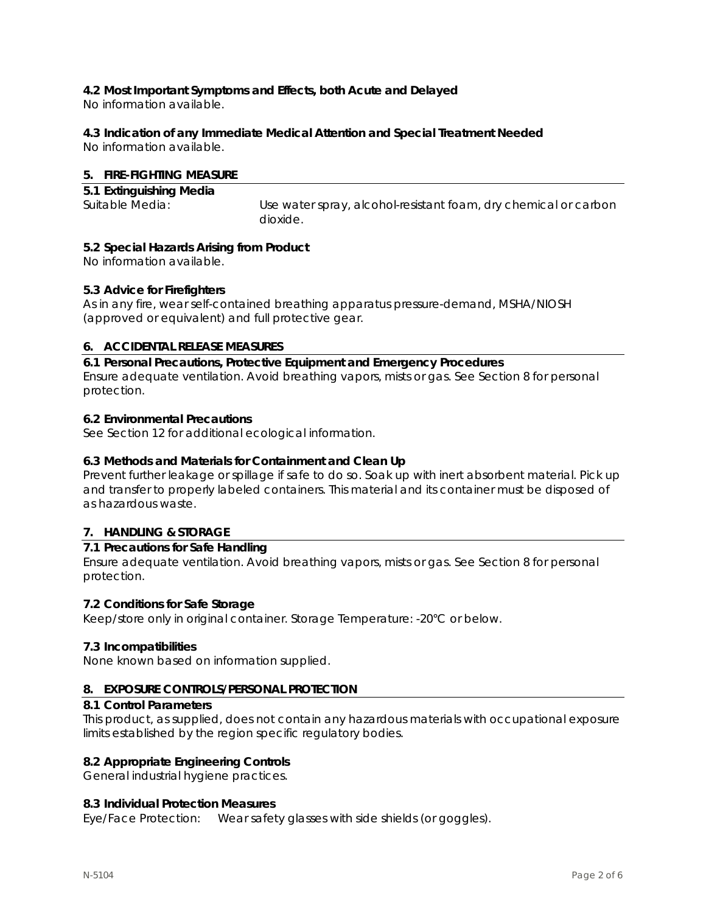## **4.2 Most Important Symptoms and Effects, both Acute and Delayed**

No information available.

## **4.3 Indication of any Immediate Medical Attention and Special Treatment Needed**

No information available.

#### **5. FIRE-FIGHTING MEASURE**

| 5.1 Extinguishing Media |                                                                 |
|-------------------------|-----------------------------------------------------------------|
| Suitable Media:         | Use water spray, alcohol-resistant foam, dry chemical or carbon |
|                         | dioxide.                                                        |

#### **5.2 Special Hazards Arising from Product**

No information available.

#### **5.3 Advice for Firefighters**

As in any fire, wear self-contained breathing apparatus pressure-demand, MSHA/NIOSH (approved or equivalent) and full protective gear.

## **6. ACCIDENTAL RELEASE MEASURES**

**6.1 Personal Precautions, Protective Equipment and Emergency Procedures**  Ensure adequate ventilation. Avoid breathing vapors, mists or gas. See Section 8 for personal protection.

#### **6.2 Environmental Precautions**

See Section 12 for additional ecological information.

## **6.3 Methods and Materials for Containment and Clean Up**

Prevent further leakage or spillage if safe to do so. Soak up with inert absorbent material. Pick up and transfer to properly labeled containers. This material and its container must be disposed of as hazardous waste.

## **7. HANDLING & STORAGE**

#### **7.1 Precautions for Safe Handling**

Ensure adequate ventilation. Avoid breathing vapors, mists or gas. See Section 8 for personal protection.

#### **7.2 Conditions for Safe Storage**

Keep/store only in original container. Storage Temperature: -20°C or below.

#### **7.3 Incompatibilities**

None known based on information supplied.

#### **8. EXPOSURE CONTROLS/PERSONAL PROTECTION**

#### **8.1 Control Parameters**

This product, as supplied, does not contain any hazardous materials with occupational exposure limits established by the region specific regulatory bodies.

#### **8.2 Appropriate Engineering Controls**

General industrial hygiene practices.

#### **8.3 Individual Protection Measures**

Eye/Face Protection: Wear safety glasses with side shields (or goggles).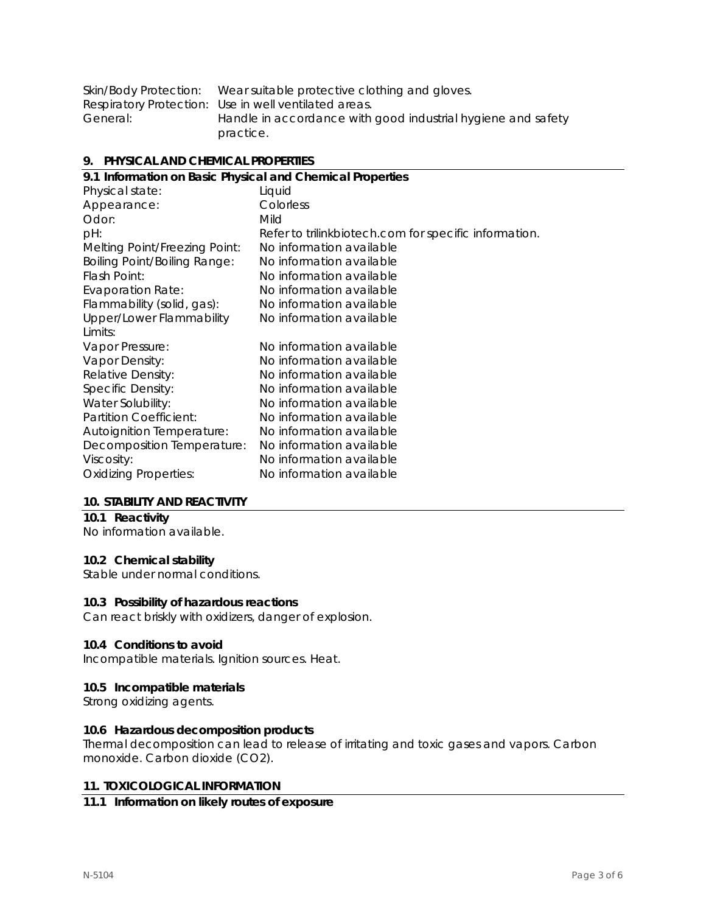|          | Skin/Body Protection: Wear suitable protective clothing and gloves. |
|----------|---------------------------------------------------------------------|
|          | Respiratory Protection: Use in well ventilated areas.               |
| General: | Handle in accordance with good industrial hygiene and safety        |
|          | practice.                                                           |

#### **9. PHYSICAL AND CHEMICAL PROPERTIES**

| 9.1 Information on Basic Physical and Chemical Properties |                                                       |  |
|-----------------------------------------------------------|-------------------------------------------------------|--|
| Physical state:                                           | Liquid                                                |  |
| Appearance:                                               | Colorless                                             |  |
| Odor:                                                     | Mild                                                  |  |
| pH:                                                       | Refer to trilinkbiotech.com for specific information. |  |
| Melting Point/Freezing Point:                             | No information available                              |  |
| <b>Boiling Point/Boiling Range:</b>                       | No information available                              |  |
| Flash Point:                                              | No information available                              |  |
| <b>Evaporation Rate:</b>                                  | No information available                              |  |
| Flammability (solid, gas):                                | No information available                              |  |
| Upper/Lower Flammability                                  | No information available                              |  |
| Limits:                                                   |                                                       |  |
| Vapor Pressure:                                           | No information available                              |  |
| Vapor Density:                                            | No information available                              |  |
| Relative Density:                                         | No information available                              |  |
| Specific Density:                                         | No information available                              |  |
| Water Solubility:                                         | No information available                              |  |
| Partition Coefficient:                                    | No information available                              |  |
| <b>Autoignition Temperature:</b>                          | No information available                              |  |
| Decomposition Temperature:                                | No information available                              |  |
| Viscosity:                                                | No information available                              |  |
| <b>Oxidizing Properties:</b>                              | No information available                              |  |
|                                                           |                                                       |  |

#### **10. STABILITY AND REACTIVITY**

## **10.1 Reactivity**

No information available.

## **10.2 Chemical stability**

Stable under normal conditions.

#### **10.3 Possibility of hazardous reactions**

Can react briskly with oxidizers, danger of explosion.

#### **10.4 Conditions to avoid**

Incompatible materials. Ignition sources. Heat.

#### **10.5 Incompatible materials**

Strong oxidizing agents.

#### **10.6 Hazardous decomposition products**

Thermal decomposition can lead to release of irritating and toxic gases and vapors. Carbon monoxide. Carbon dioxide (CO2).

#### **11. TOXICOLOGICAL INFORMATION**

#### **11.1 Information on likely routes of exposure**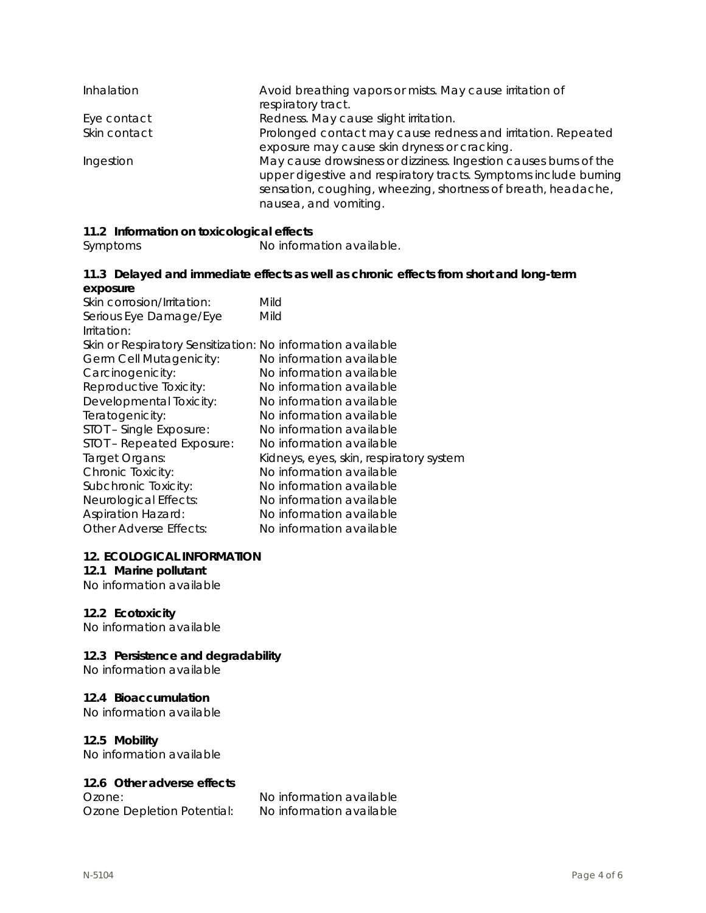| Inhalation   | Avoid breathing vapors or mists. May cause irritation of<br>respiratory tract.                                                                                                                                                 |
|--------------|--------------------------------------------------------------------------------------------------------------------------------------------------------------------------------------------------------------------------------|
| Eye contact  | Redness. May cause slight irritation.                                                                                                                                                                                          |
| Skin contact | Prolonged contact may cause redness and irritation. Repeated<br>exposure may cause skin dryness or cracking.                                                                                                                   |
| Ingestion    | May cause drowsiness or dizziness. Ingestion causes burns of the<br>upper digestive and respiratory tracts. Symptoms include burning<br>sensation, coughing, wheezing, shortness of breath, headache,<br>nausea, and vomiting. |

## **11.2 Information on toxicological effects**

Symptoms No information available.

#### **11.3 Delayed and immediate effects as well as chronic effects from short and long-term exposure**

| Skin corrosion/Irritation:                                  | Mild                                    |
|-------------------------------------------------------------|-----------------------------------------|
| Serious Eye Damage/Eye                                      | Mild                                    |
| Irritation:                                                 |                                         |
| Skin or Respiratory Sensitization: No information available |                                         |
| Germ Cell Mutagenicity:                                     | No information available                |
| Carcinogenicity:                                            | No information available                |
| Reproductive Toxicity:                                      | No information available                |
| Developmental Toxicity:                                     | No information available                |
| Teratogenicity:                                             | No information available                |
| STOT - Single Exposure:                                     | No information available                |
| STOT - Repeated Exposure:                                   | No information available                |
| Target Organs:                                              | Kidneys, eyes, skin, respiratory system |
| Chronic Toxicity:                                           | No information available                |
| Subchronic Toxicity:                                        | No information available                |
| Neurological Effects:                                       | No information available                |
| <b>Aspiration Hazard:</b>                                   | No information available                |
| <b>Other Adverse Effects:</b>                               | No information available                |
|                                                             |                                         |

#### **12. ECOLOGICAL INFORMATION**

## **12.1 Marine pollutant**

No information available

#### **12.2 Ecotoxicity**

No information available

## **12.3 Persistence and degradability**

No information available

#### **12.4 Bioaccumulation**

No information available

#### **12.5 Mobility**

No information available

#### **12.6 Other adverse effects**

Ozone Depletion Potential: No information available

Ozone: No information available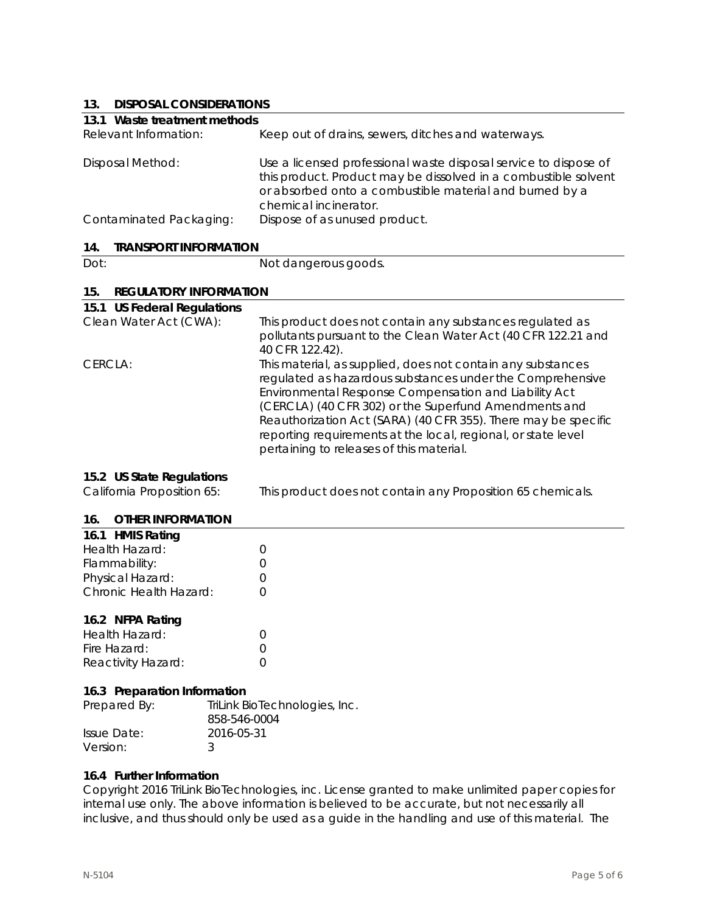## **13. DISPOSAL CONSIDERATIONS**

| 1 J.<br><b>DISPOSAL CONSIDERATIONS</b>                  |                                                                                                                                                                                                                                                                                                                                                                                                                           |  |  |
|---------------------------------------------------------|---------------------------------------------------------------------------------------------------------------------------------------------------------------------------------------------------------------------------------------------------------------------------------------------------------------------------------------------------------------------------------------------------------------------------|--|--|
|                                                         | 13.1 Waste treatment methods                                                                                                                                                                                                                                                                                                                                                                                              |  |  |
| Relevant Information:                                   | Keep out of drains, sewers, ditches and waterways.                                                                                                                                                                                                                                                                                                                                                                        |  |  |
| <b>Disposal Method:</b>                                 | Use a licensed professional waste disposal service to dispose of<br>this product. Product may be dissolved in a combustible solvent<br>or absorbed onto a combustible material and burned by a<br>chemical incinerator.                                                                                                                                                                                                   |  |  |
| Contaminated Packaging:                                 | Dispose of as unused product.                                                                                                                                                                                                                                                                                                                                                                                             |  |  |
| <b>TRANSPORT INFORMATION</b><br>14.                     |                                                                                                                                                                                                                                                                                                                                                                                                                           |  |  |
| Dot:                                                    | Not dangerous goods.                                                                                                                                                                                                                                                                                                                                                                                                      |  |  |
| 15.<br><b>REGULATORY INFORMATION</b>                    |                                                                                                                                                                                                                                                                                                                                                                                                                           |  |  |
| 15.1 US Federal Regulations                             |                                                                                                                                                                                                                                                                                                                                                                                                                           |  |  |
| Clean Water Act (CWA):                                  | This product does not contain any substances regulated as<br>pollutants pursuant to the Clean Water Act (40 CFR 122.21 and<br>40 CFR 122.42).                                                                                                                                                                                                                                                                             |  |  |
| CERCLA:                                                 | This material, as supplied, does not contain any substances<br>regulated as hazardous substances under the Comprehensive<br>Environmental Response Compensation and Liability Act<br>(CERCLA) (40 CFR 302) or the Superfund Amendments and<br>Reauthorization Act (SARA) (40 CFR 355). There may be specific<br>reporting requirements at the local, regional, or state level<br>pertaining to releases of this material. |  |  |
| 15.2 US State Regulations<br>California Proposition 65: | This product does not contain any Proposition 65 chemicals.                                                                                                                                                                                                                                                                                                                                                               |  |  |
|                                                         |                                                                                                                                                                                                                                                                                                                                                                                                                           |  |  |
| 16.<br><b>OTHER INFORMATION</b>                         |                                                                                                                                                                                                                                                                                                                                                                                                                           |  |  |

| 16.1 HMIS Rating       |                  |
|------------------------|------------------|
| Health Hazard:         | $\left( \right)$ |
| Flammability:          | $\left( \right)$ |
| Physical Hazard:       | $\left( \right)$ |
| Chronic Health Hazard: | $\left( \right)$ |
|                        |                  |

#### **16.2 NFPA Rating**

| Health Hazard:     |  |
|--------------------|--|
| Fire Hazard:       |  |
| Reactivity Hazard: |  |

#### **16.3 Preparation Information**

| Prepared By: | TriLink BioTechnologies, Inc.<br>858-546-0004 |
|--------------|-----------------------------------------------|
| Issue Date:  | 2016-05-31                                    |
| Version:     |                                               |

#### **16.4 Further Information**

Copyright 2016 TriLink BioTechnologies, inc. License granted to make unlimited paper copies for internal use only. The above information is believed to be accurate, but not necessarily all inclusive, and thus should only be used as a guide in the handling and use of this material. The